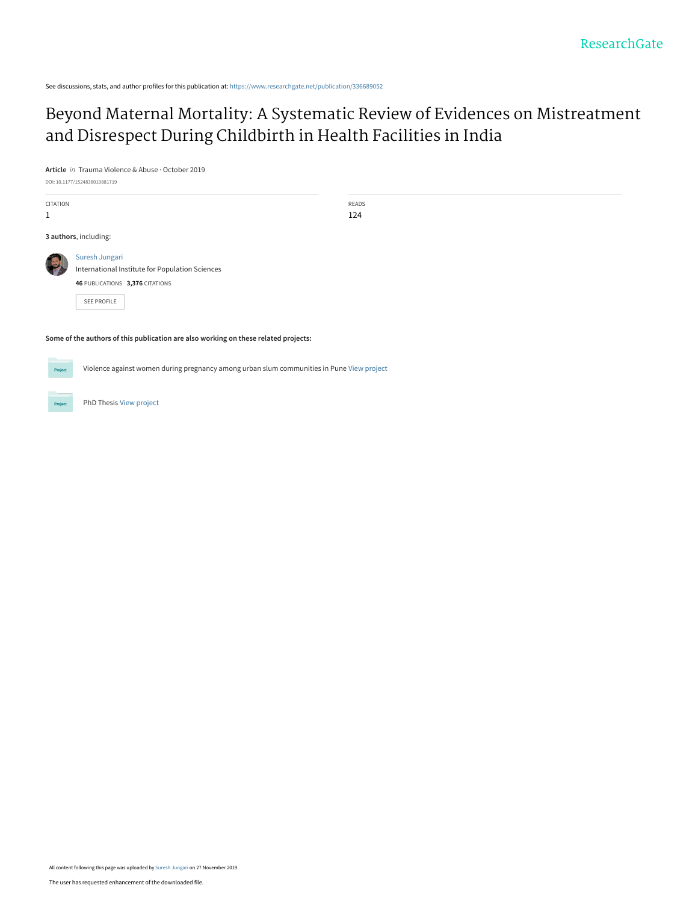See discussions, stats, and author profiles for this publication at: [https://www.researchgate.net/publication/336689052](https://www.researchgate.net/publication/336689052_Beyond_Maternal_Mortality_A_Systematic_Review_of_Evidences_on_Mistreatment_and_Disrespect_During_Childbirth_in_Health_Facilities_in_India?enrichId=rgreq-415d9d2e1d7a35472fe6bb48353a2703-XXX&enrichSource=Y292ZXJQYWdlOzMzNjY4OTA1MjtBUzo4Mjk3MjYyNjg1ODgwMzNAMTU3NDgzMzU2NjI3Mg%3D%3D&el=1_x_2&_esc=publicationCoverPdf)

# [Beyond Maternal Mortality: A Systematic Review of Evidences on Mistreatment](https://www.researchgate.net/publication/336689052_Beyond_Maternal_Mortality_A_Systematic_Review_of_Evidences_on_Mistreatment_and_Disrespect_During_Childbirth_in_Health_Facilities_in_India?enrichId=rgreq-415d9d2e1d7a35472fe6bb48353a2703-XXX&enrichSource=Y292ZXJQYWdlOzMzNjY4OTA1MjtBUzo4Mjk3MjYyNjg1ODgwMzNAMTU3NDgzMzU2NjI3Mg%3D%3D&el=1_x_3&_esc=publicationCoverPdf) and Disrespect During Childbirth in Health Facilities in India

**Article** in Trauma Violence & Abuse · October 2019

DOI: 10.1177/1524838019881719

| CITATION<br>1 |                                                     |
|---------------|-----------------------------------------------------|
|               | 3 authors, including:                               |
|               | Suresh Jungari<br>International Institute for Popul |

READS 124

[International Institute for Population Sciences](https://www.researchgate.net/institution/International-Institute-for-Population-Sciences?enrichId=rgreq-415d9d2e1d7a35472fe6bb48353a2703-XXX&enrichSource=Y292ZXJQYWdlOzMzNjY4OTA1MjtBUzo4Mjk3MjYyNjg1ODgwMzNAMTU3NDgzMzU2NjI3Mg%3D%3D&el=1_x_6&_esc=publicationCoverPdf)

**46** PUBLICATIONS **3,376** CITATIONS

[SEE PROFILE](https://www.researchgate.net/profile/Suresh-Jungari?enrichId=rgreq-415d9d2e1d7a35472fe6bb48353a2703-XXX&enrichSource=Y292ZXJQYWdlOzMzNjY4OTA1MjtBUzo4Mjk3MjYyNjg1ODgwMzNAMTU3NDgzMzU2NjI3Mg%3D%3D&el=1_x_7&_esc=publicationCoverPdf)

**Some of the authors of this publication are also working on these related projects:**

Violence against women during pregnancy among urban slum communities in Pune [View project](https://www.researchgate.net/project/Violence-against-women-during-pregnancy-among-urban-slum-communities-in-Pune?enrichId=rgreq-415d9d2e1d7a35472fe6bb48353a2703-XXX&enrichSource=Y292ZXJQYWdlOzMzNjY4OTA1MjtBUzo4Mjk3MjYyNjg1ODgwMzNAMTU3NDgzMzU2NjI3Mg%3D%3D&el=1_x_9&_esc=publicationCoverPdf) Project



PhD Thesis [View project](https://www.researchgate.net/project/PhD-Thesis-2159?enrichId=rgreq-415d9d2e1d7a35472fe6bb48353a2703-XXX&enrichSource=Y292ZXJQYWdlOzMzNjY4OTA1MjtBUzo4Mjk3MjYyNjg1ODgwMzNAMTU3NDgzMzU2NjI3Mg%3D%3D&el=1_x_9&_esc=publicationCoverPdf)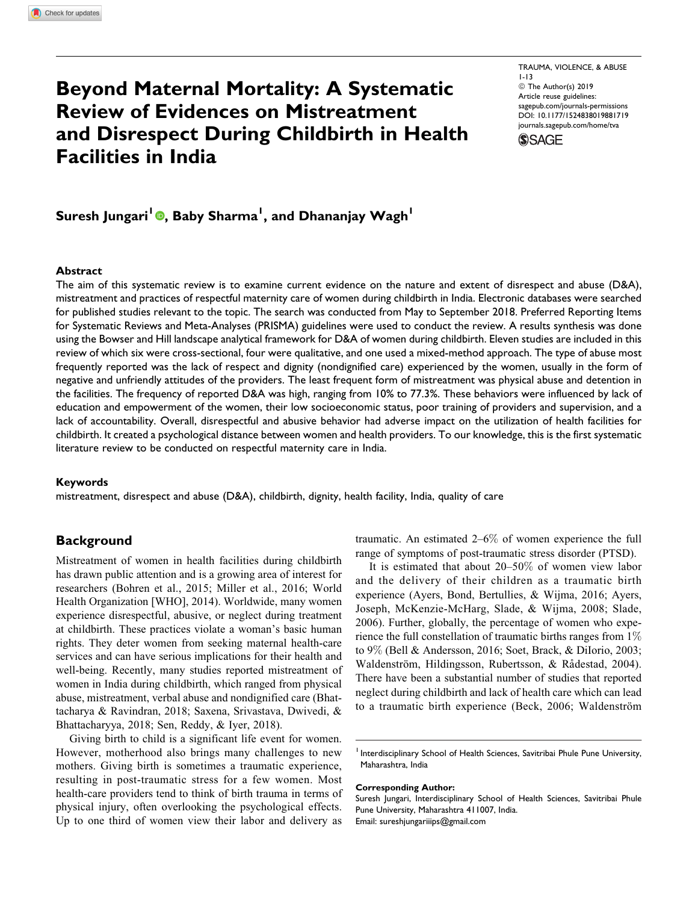# Beyond Maternal Mortality: A Systematic Review of Evidences on Mistreatment and Disrespect During Childbirth in Health Facilities in India

TRAUMA, VIOLENCE, & ABUSE 1-13 ª The Author(s) 2019 Article reuse guidelines: [sagepub.com/journals-permissions](https://sagepub.com/journals-permissions) [DOI: 10.1177/1524838019881719](https://doi.org/10.1177/1524838019881719) [journals.sagepub.com/home/tva](http://journals.sagepub.com/home/tva)



Suresh Jungari<sup>l</sup> ©, Baby Sharma<sup>l</sup>, and Dhananjay Wagh<sup>l</sup>

### Abstract

The aim of this systematic review is to examine current evidence on the nature and extent of disrespect and abuse (D&A), mistreatment and practices of respectful maternity care of women during childbirth in India. Electronic databases were searched for published studies relevant to the topic. The search was conducted from May to September 2018. Preferred Reporting Items for Systematic Reviews and Meta-Analyses (PRISMA) guidelines were used to conduct the review. A results synthesis was done using the Bowser and Hill landscape analytical framework for D&A of women during childbirth. Eleven studies are included in this review of which six were cross-sectional, four were qualitative, and one used a mixed-method approach. The type of abuse most frequently reported was the lack of respect and dignity (nondignified care) experienced by the women, usually in the form of negative and unfriendly attitudes of the providers. The least frequent form of mistreatment was physical abuse and detention in the facilities. The frequency of reported D&A was high, ranging from 10% to 77.3%. These behaviors were influenced by lack of education and empowerment of the women, their low socioeconomic status, poor training of providers and supervision, and a lack of accountability. Overall, disrespectful and abusive behavior had adverse impact on the utilization of health facilities for childbirth. It created a psychological distance between women and health providers. To our knowledge, this is the first systematic literature review to be conducted on respectful maternity care in India.

#### Keywords

mistreatment, disrespect and abuse (D&A), childbirth, dignity, health facility, India, quality of care

# **Background**

Mistreatment of women in health facilities during childbirth has drawn public attention and is a growing area of interest for researchers (Bohren et al., 2015; Miller et al., 2016; World Health Organization [WHO], 2014). Worldwide, many women experience disrespectful, abusive, or neglect during treatment at childbirth. These practices violate a woman's basic human rights. They deter women from seeking maternal health-care services and can have serious implications for their health and well-being. Recently, many studies reported mistreatment of women in India during childbirth, which ranged from physical abuse, mistreatment, verbal abuse and nondignified care (Bhattacharya & Ravindran, 2018; Saxena, Srivastava, Dwivedi, & Bhattacharyya, 2018; Sen, Reddy, & Iyer, 2018).

Giving birth to child is a significant life event for women. However, motherhood also brings many challenges to new mothers. Giving birth is sometimes a traumatic experience, resulting in post-traumatic stress for a few women. Most health-care providers tend to think of birth trauma in terms of physical injury, often overlooking the psychological effects. Up to one third of women view their labor and delivery as

traumatic. An estimated 2–6% of women experience the full range of symptoms of post-traumatic stress disorder (PTSD).

It is estimated that about 20–50% of women view labor and the delivery of their children as a traumatic birth experience (Ayers, Bond, Bertullies, & Wijma, 2016; Ayers, Joseph, McKenzie-McHarg, Slade, & Wijma, 2008; Slade, 2006). Further, globally, the percentage of women who experience the full constellation of traumatic births ranges from 1% to 9% (Bell & Andersson, 2016; Soet, Brack, & DiIorio, 2003; Waldenström, Hildingsson, Rubertsson, & Rådestad, 2004). There have been a substantial number of studies that reported neglect during childbirth and lack of health care which can lead to a traumatic birth experience (Beck, 2006; Waldenström

#### Corresponding Author:

Suresh Jungari, Interdisciplinary School of Health Sciences, Savitribai Phule Pune University, Maharashtra 411007, India. Email: [sureshjungariiips@gmail.com](mailto:sureshjungariiips@gmail.com)

<sup>&</sup>lt;sup>1</sup> Interdisciplinary School of Health Sciences, Savitribai Phule Pune University, Maharashtra, India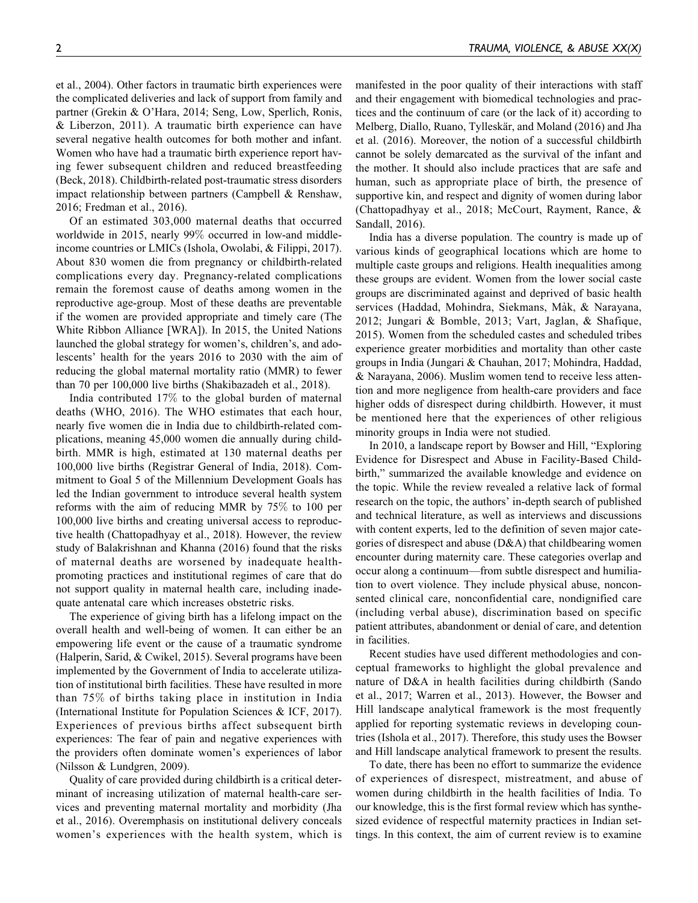et al., 2004). Other factors in traumatic birth experiences were the complicated deliveries and lack of support from family and partner (Grekin & O'Hara, 2014; Seng, Low, Sperlich, Ronis, & Liberzon, 2011). A traumatic birth experience can have several negative health outcomes for both mother and infant. Women who have had a traumatic birth experience report having fewer subsequent children and reduced breastfeeding (Beck, 2018). Childbirth-related post-traumatic stress disorders impact relationship between partners (Campbell & Renshaw, 2016; Fredman et al., 2016).

Of an estimated 303,000 maternal deaths that occurred worldwide in 2015, nearly 99% occurred in low-and middleincome countries or LMICs (Ishola, Owolabi, & Filippi, 2017). About 830 women die from pregnancy or childbirth-related complications every day. Pregnancy-related complications remain the foremost cause of deaths among women in the reproductive age-group. Most of these deaths are preventable if the women are provided appropriate and timely care (The White Ribbon Alliance [WRA]). In 2015, the United Nations launched the global strategy for women's, children's, and adolescents' health for the years 2016 to 2030 with the aim of reducing the global maternal mortality ratio (MMR) to fewer than 70 per 100,000 live births (Shakibazadeh et al., 2018).

India contributed 17% to the global burden of maternal deaths (WHO, 2016). The WHO estimates that each hour, nearly five women die in India due to childbirth-related complications, meaning 45,000 women die annually during childbirth. MMR is high, estimated at 130 maternal deaths per 100,000 live births (Registrar General of India, 2018). Commitment to Goal 5 of the Millennium Development Goals has led the Indian government to introduce several health system reforms with the aim of reducing MMR by 75% to 100 per 100,000 live births and creating universal access to reproductive health (Chattopadhyay et al., 2018). However, the review study of Balakrishnan and Khanna (2016) found that the risks of maternal deaths are worsened by inadequate healthpromoting practices and institutional regimes of care that do not support quality in maternal health care, including inadequate antenatal care which increases obstetric risks.

The experience of giving birth has a lifelong impact on the overall health and well-being of women. It can either be an empowering life event or the cause of a traumatic syndrome (Halperin, Sarid, & Cwikel, 2015). Several programs have been implemented by the Government of India to accelerate utilization of institutional birth facilities. These have resulted in more than 75% of births taking place in institution in India (International Institute for Population Sciences & ICF, 2017). Experiences of previous births affect subsequent birth experiences: The fear of pain and negative experiences with the providers often dominate women's experiences of labor (Nilsson & Lundgren, 2009).

Quality of care provided during childbirth is a critical determinant of increasing utilization of maternal health-care services and preventing maternal mortality and morbidity (Jha et al., 2016). Overemphasis on institutional delivery conceals women's experiences with the health system, which is manifested in the poor quality of their interactions with staff and their engagement with biomedical technologies and practices and the continuum of care (or the lack of it) according to Melberg, Diallo, Ruano, Tylleskär, and Moland (2016) and Jha et al. (2016). Moreover, the notion of a successful childbirth cannot be solely demarcated as the survival of the infant and the mother. It should also include practices that are safe and human, such as appropriate place of birth, the presence of supportive kin, and respect and dignity of women during labor (Chattopadhyay et al., 2018; McCourt, Rayment, Rance, & Sandall, 2016).

India has a diverse population. The country is made up of various kinds of geographical locations which are home to multiple caste groups and religions. Health inequalities among these groups are evident. Women from the lower social caste groups are discriminated against and deprived of basic health services (Haddad, Mohindra, Siekmans, Màk, & Narayana, 2012; Jungari & Bomble, 2013; Vart, Jaglan, & Shafique, 2015). Women from the scheduled castes and scheduled tribes experience greater morbidities and mortality than other caste groups in India (Jungari & Chauhan, 2017; Mohindra, Haddad, & Narayana, 2006). Muslim women tend to receive less attention and more negligence from health-care providers and face higher odds of disrespect during childbirth. However, it must be mentioned here that the experiences of other religious minority groups in India were not studied.

In 2010, a landscape report by Bowser and Hill, "Exploring Evidence for Disrespect and Abuse in Facility-Based Childbirth," summarized the available knowledge and evidence on the topic. While the review revealed a relative lack of formal research on the topic, the authors' in-depth search of published and technical literature, as well as interviews and discussions with content experts, led to the definition of seven major categories of disrespect and abuse (D&A) that childbearing women encounter during maternity care. These categories overlap and occur along a continuum—from subtle disrespect and humiliation to overt violence. They include physical abuse, nonconsented clinical care, nonconfidential care, nondignified care (including verbal abuse), discrimination based on specific patient attributes, abandonment or denial of care, and detention in facilities.

Recent studies have used different methodologies and conceptual frameworks to highlight the global prevalence and nature of D&A in health facilities during childbirth (Sando et al., 2017; Warren et al., 2013). However, the Bowser and Hill landscape analytical framework is the most frequently applied for reporting systematic reviews in developing countries (Ishola et al., 2017). Therefore, this study uses the Bowser and Hill landscape analytical framework to present the results.

To date, there has been no effort to summarize the evidence of experiences of disrespect, mistreatment, and abuse of women during childbirth in the health facilities of India. To our knowledge, this is the first formal review which has synthesized evidence of respectful maternity practices in Indian settings. In this context, the aim of current review is to examine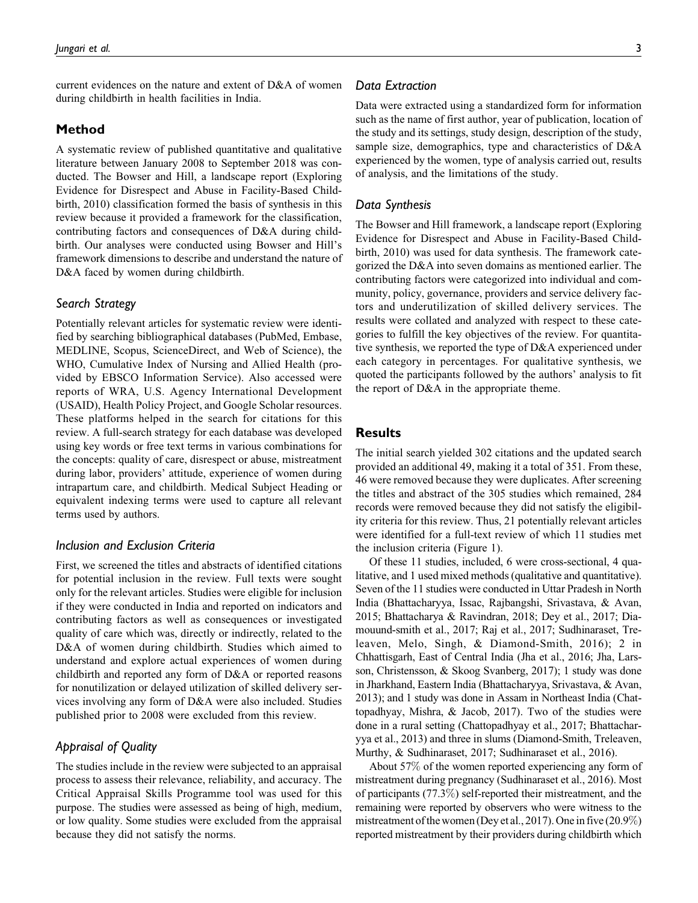current evidences on the nature and extent of D&A of women during childbirth in health facilities in India.

## Method

A systematic review of published quantitative and qualitative literature between January 2008 to September 2018 was conducted. The Bowser and Hill, a landscape report (Exploring Evidence for Disrespect and Abuse in Facility-Based Childbirth, 2010) classification formed the basis of synthesis in this review because it provided a framework for the classification, contributing factors and consequences of D&A during childbirth. Our analyses were conducted using Bowser and Hill's framework dimensions to describe and understand the nature of D&A faced by women during childbirth.

## Search Strategy

Potentially relevant articles for systematic review were identified by searching bibliographical databases (PubMed, Embase, MEDLINE, Scopus, ScienceDirect, and Web of Science), the WHO, Cumulative Index of Nursing and Allied Health (provided by EBSCO Information Service). Also accessed were reports of WRA, U.S. Agency International Development (USAID), Health Policy Project, and Google Scholar resources. These platforms helped in the search for citations for this review. A full-search strategy for each database was developed using key words or free text terms in various combinations for the concepts: quality of care, disrespect or abuse, mistreatment during labor, providers' attitude, experience of women during intrapartum care, and childbirth. Medical Subject Heading or equivalent indexing terms were used to capture all relevant terms used by authors.

### Inclusion and Exclusion Criteria

First, we screened the titles and abstracts of identified citations for potential inclusion in the review. Full texts were sought only for the relevant articles. Studies were eligible for inclusion if they were conducted in India and reported on indicators and contributing factors as well as consequences or investigated quality of care which was, directly or indirectly, related to the D&A of women during childbirth. Studies which aimed to understand and explore actual experiences of women during childbirth and reported any form of D&A or reported reasons for nonutilization or delayed utilization of skilled delivery services involving any form of D&A were also included. Studies published prior to 2008 were excluded from this review.

# Appraisal of Quality

The studies include in the review were subjected to an appraisal process to assess their relevance, reliability, and accuracy. The Critical Appraisal Skills Programme tool was used for this purpose. The studies were assessed as being of high, medium, or low quality. Some studies were excluded from the appraisal because they did not satisfy the norms.

### Data Extraction

Data were extracted using a standardized form for information such as the name of first author, year of publication, location of the study and its settings, study design, description of the study, sample size, demographics, type and characteristics of D&A experienced by the women, type of analysis carried out, results of analysis, and the limitations of the study.

### Data Synthesis

The Bowser and Hill framework, a landscape report (Exploring Evidence for Disrespect and Abuse in Facility-Based Childbirth, 2010) was used for data synthesis. The framework categorized the D&A into seven domains as mentioned earlier. The contributing factors were categorized into individual and community, policy, governance, providers and service delivery factors and underutilization of skilled delivery services. The results were collated and analyzed with respect to these categories to fulfill the key objectives of the review. For quantitative synthesis, we reported the type of D&A experienced under each category in percentages. For qualitative synthesis, we quoted the participants followed by the authors' analysis to fit the report of D&A in the appropriate theme.

## **Results**

The initial search yielded 302 citations and the updated search provided an additional 49, making it a total of 351. From these, 46 were removed because they were duplicates. After screening the titles and abstract of the 305 studies which remained, 284 records were removed because they did not satisfy the eligibility criteria for this review. Thus, 21 potentially relevant articles were identified for a full-text review of which 11 studies met the inclusion criteria (Figure 1).

Of these 11 studies, included, 6 were cross-sectional, 4 qualitative, and 1 used mixed methods (qualitative and quantitative). Seven of the 11 studies were conducted in Uttar Pradesh in North India (Bhattacharyya, Issac, Rajbangshi, Srivastava, & Avan, 2015; Bhattacharya & Ravindran, 2018; Dey et al., 2017; Diamouund-smith et al., 2017; Raj et al., 2017; Sudhinaraset, Treleaven, Melo, Singh, & Diamond-Smith, 2016); 2 in Chhattisgarh, East of Central India (Jha et al., 2016; Jha, Larsson, Christensson, & Skoog Svanberg, 2017); 1 study was done in Jharkhand, Eastern India (Bhattacharyya, Srivastava, & Avan, 2013); and 1 study was done in Assam in Northeast India (Chattopadhyay, Mishra, & Jacob, 2017). Two of the studies were done in a rural setting (Chattopadhyay et al., 2017; Bhattacharyya et al., 2013) and three in slums (Diamond-Smith, Treleaven, Murthy, & Sudhinaraset, 2017; Sudhinaraset et al., 2016).

About 57% of the women reported experiencing any form of mistreatment during pregnancy (Sudhinaraset et al., 2016). Most of participants (77.3%) self-reported their mistreatment, and the remaining were reported by observers who were witness to the mistreatment of the women (Dey et al., 2017). One in five (20.9%) reported mistreatment by their providers during childbirth which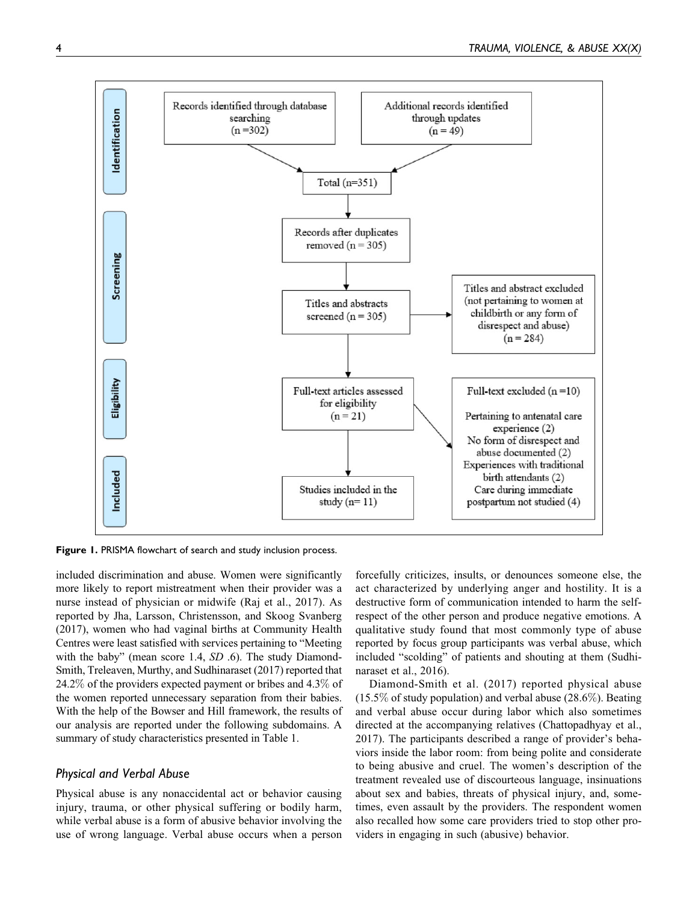

Figure 1. PRISMA flowchart of search and study inclusion process.

included discrimination and abuse. Women were significantly more likely to report mistreatment when their provider was a nurse instead of physician or midwife (Raj et al., 2017). As reported by Jha, Larsson, Christensson, and Skoog Svanberg (2017), women who had vaginal births at Community Health Centres were least satisfied with services pertaining to "Meeting with the baby" (mean score 1.4, SD .6). The study Diamond-Smith, Treleaven, Murthy, and Sudhinaraset (2017) reported that 24.2% of the providers expected payment or bribes and 4.3% of the women reported unnecessary separation from their babies. With the help of the Bowser and Hill framework, the results of our analysis are reported under the following subdomains. A summary of study characteristics presented in Table 1.

## Physical and Verbal Abuse

Physical abuse is any nonaccidental act or behavior causing injury, trauma, or other physical suffering or bodily harm, while verbal abuse is a form of abusive behavior involving the use of wrong language. Verbal abuse occurs when a person

forcefully criticizes, insults, or denounces someone else, the act characterized by underlying anger and hostility. It is a destructive form of communication intended to harm the selfrespect of the other person and produce negative emotions. A qualitative study found that most commonly type of abuse reported by focus group participants was verbal abuse, which included "scolding" of patients and shouting at them (Sudhinaraset et al., 2016).

Diamond-Smith et al. (2017) reported physical abuse  $(15.5\%$  of study population) and verbal abuse  $(28.6\%)$ . Beating and verbal abuse occur during labor which also sometimes directed at the accompanying relatives (Chattopadhyay et al., 2017). The participants described a range of provider's behaviors inside the labor room: from being polite and considerate to being abusive and cruel. The women's description of the treatment revealed use of discourteous language, insinuations about sex and babies, threats of physical injury, and, sometimes, even assault by the providers. The respondent women also recalled how some care providers tried to stop other providers in engaging in such (abusive) behavior.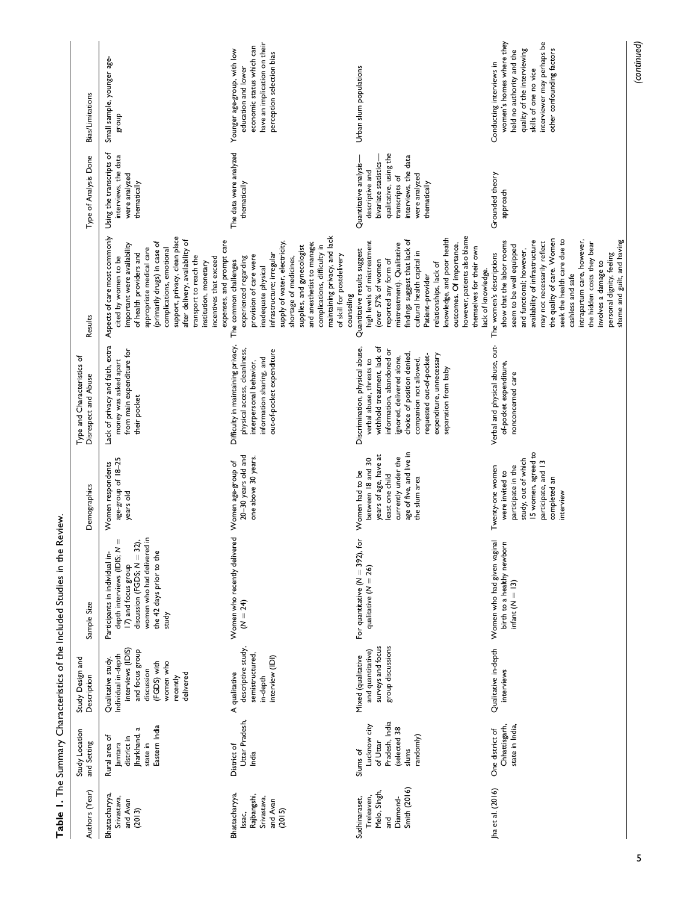|                                                     |                                                                                                                                                                                                                                                                                                                                                                                       | have an implication on their<br>economic status which can<br>Younger age-group, with low<br>perception selection bias                                                                                                                                                                                                                                           |                                                                                                                                                                                                                                                                                                                                                                            | women's homes where they<br>interviewer may perhaps be<br>(continued)<br>other confounding factors<br>quality of the interviewing<br>held no authority and the                                                                                                                                                                                                                                                                         |
|-----------------------------------------------------|---------------------------------------------------------------------------------------------------------------------------------------------------------------------------------------------------------------------------------------------------------------------------------------------------------------------------------------------------------------------------------------|-----------------------------------------------------------------------------------------------------------------------------------------------------------------------------------------------------------------------------------------------------------------------------------------------------------------------------------------------------------------|----------------------------------------------------------------------------------------------------------------------------------------------------------------------------------------------------------------------------------------------------------------------------------------------------------------------------------------------------------------------------|----------------------------------------------------------------------------------------------------------------------------------------------------------------------------------------------------------------------------------------------------------------------------------------------------------------------------------------------------------------------------------------------------------------------------------------|
| Bias/Limitations                                    | Small sample, younger age-<br>dno.18                                                                                                                                                                                                                                                                                                                                                  | education and lower                                                                                                                                                                                                                                                                                                                                             | Urban slum populations                                                                                                                                                                                                                                                                                                                                                     | Conducting interviews in<br>skills of one no vice                                                                                                                                                                                                                                                                                                                                                                                      |
| Type of Analysis Done                               | Using the transcripts of<br>interviews, the data<br>were analyzed<br>thematically                                                                                                                                                                                                                                                                                                     | The data were analyzed<br>thematically                                                                                                                                                                                                                                                                                                                          | qualitative, using the<br>interviews, the data<br>bivariate statistics-<br>Quantitative analysis-<br>descriptive and<br>were analyzed<br>transcripts of<br>thematically                                                                                                                                                                                                    | Grounded theory<br>approach                                                                                                                                                                                                                                                                                                                                                                                                            |
| Results                                             | Aspects of care most commonly<br>support, privacy, clean place<br>after delivery, availability of<br>expenses, and prompt care<br>(primarily drugs) in case of<br>important were availability<br>appropriate medical care<br>complications, emotional<br>of health providers and<br>transport to reach the<br>incentives that exceed<br>cited by women to be<br>institution, monetary | maintaining privacy, and lack<br>supply of water, electricity,<br>and anesthetist to manage;<br>complications, difficulty in<br>supplies, and gynecologist<br>infrastructure; irregular<br>provision of care were<br>of skill for postdelivery<br>shortage of medicines,<br>experienced regarding<br>The common challenges<br>inadequate physical<br>counseling | however, patients also blame<br>knowledge, and poor health<br>findings suggest that lack of<br>high levels of mistreatment<br>mistreatment). Qualitative<br>outcomes. Of importance,<br>themselves for their own<br>Quantitative results suggest<br>cultural health capital in<br>reported any form of<br>(over 57% of women<br>relationships, lack of<br>Patient-provider | the quality of care. Women<br>seek the health care due to<br>intrapartum care, however,<br>shame and guilt, and having<br>show that the labor rooms<br>availability of infrastructure<br>may not necessarily reflect<br>the hidden costs they bear<br>seem to be well equipped<br>and functional; however,<br>personal dignity, feeling<br>The women's descriptions<br>involves a damage to<br>lack of knowledge.<br>cashless and safe |
| Type and Characteristics of<br>Disrespect and Abuse | Lack of privacy and faith, extra<br>from main expenditure for<br>money was asked apart<br>their pocket                                                                                                                                                                                                                                                                                | Difficulty in maintaining privacy,<br>physical access, cleanliness,<br>out-of-pocket expenditure<br>information sharing, and<br>interpersonal behavior,                                                                                                                                                                                                         | withhold treatment, lack of<br>Discrimination, physical abuse,<br>information, abandoned or<br>choice of position denied,<br>expenditure, unnecessary<br>requested out-of-pocket-<br>ignored, delivered alone,<br>companion not allowed,<br>verbal abuse, threats to<br>separation from baby                                                                               | Verbal and physical abuse, out-<br>of-pocket expenditure,<br>nonconcerned care                                                                                                                                                                                                                                                                                                                                                         |
| Demographics                                        | age-group of 18-25<br>Women respondents<br>years old                                                                                                                                                                                                                                                                                                                                  | 20-30 years old and<br>one above 30 years.<br>Women age-group of                                                                                                                                                                                                                                                                                                | age of five, and live in<br>years of age, have at<br>currently under the<br>between 18 and 30<br>Women had to be<br>least one child<br>the slum area                                                                                                                                                                                                                       | 15 women, agreed to<br>study, out of which<br>participate, and 13<br>participate in the<br>Twenty-one women<br>were invited to<br>completed an<br>interview                                                                                                                                                                                                                                                                            |
| Sample Size                                         | women who had delivered in<br>Ш<br>discussion (FGDS; $N = 32$ ),<br>depth interviews (IDIS; N<br>the 42 days prior to the<br>Participants in individual in-<br>17) and focus group<br>study                                                                                                                                                                                           | Women who recently delivered<br>$(N = 24)$                                                                                                                                                                                                                                                                                                                      | For quantitative ( $N = 392$ ), for<br>qualitative $(N = 26)$                                                                                                                                                                                                                                                                                                              | Women who had given vaginal<br>birth to a healthy newborn<br>infant $(N = 13)$                                                                                                                                                                                                                                                                                                                                                         |
| Study Design and<br>Description                     | interviews (IDIS)<br>and focus group<br>Individual in-depth<br>Qualitative study<br>(FGDS) with<br>women who<br>discussion<br>delivered<br>recently                                                                                                                                                                                                                                   | descriptive study,<br>semistructured,<br>interview (IDI)<br>A qualitative<br>in-depth                                                                                                                                                                                                                                                                           | group discussions<br>surveys and focus<br>and quantitative)<br>Mixed (qualitative                                                                                                                                                                                                                                                                                          | Qualitative in-depth<br>interviews                                                                                                                                                                                                                                                                                                                                                                                                     |
| Study Location<br>and Setting                       | Eastern India<br>Jharkhand, a<br>Rural area of<br>district in<br>state in<br>Jamtara                                                                                                                                                                                                                                                                                                  | Uttar Pradesh,<br>District of<br>India                                                                                                                                                                                                                                                                                                                          | Pradesh, India<br>Lucknow city<br>(selected 38<br>randomly)<br>of Uttar<br>slums<br>Slums of                                                                                                                                                                                                                                                                               | Chhattisgarh,<br>state in India,<br>One district of                                                                                                                                                                                                                                                                                                                                                                                    |
| Authors (Year)                                      | Bhattacharyya,<br>Srivastava,<br>and Avan<br>(2013)                                                                                                                                                                                                                                                                                                                                   | Bhattacharyya,<br>Rajbangshi,<br>Srivastava,<br>and Avan<br>(2015)<br>Issac,                                                                                                                                                                                                                                                                                    | <b>Smith (2016)</b><br>Melo, Singh,<br>Treleaven,<br>Diamond-<br>Sudhinaraset,<br>and                                                                                                                                                                                                                                                                                      | Jha et al. (2016)                                                                                                                                                                                                                                                                                                                                                                                                                      |

Table 1. The Summary Characteristics of the Included Studies in the Review. Table 1. The Summary Characteristics of the Included Studies in the Review.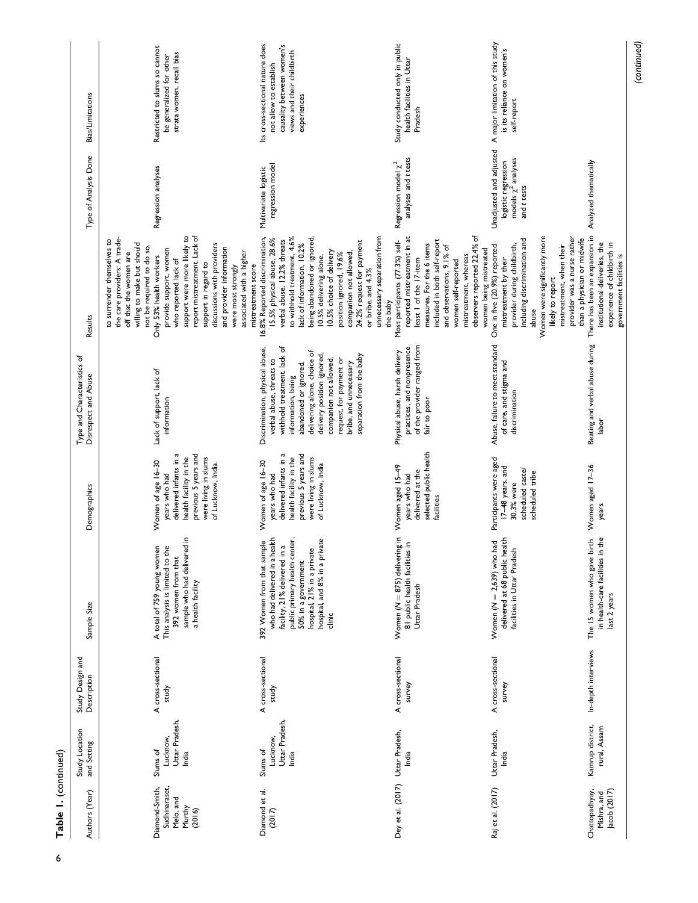| l |  |
|---|--|

| Authors (Year)                                                   | Study Location<br>and Setting                   | Study Design and<br>Description | Sample Size                                                                                                                                                                                                                                  | Demographics                                                                                                                                                  | Type and Characteristics of<br>Disrespect and Abuse                                                                                                                                                                                                                                                               | Results                                                                                                                                                                                                                                                                                                                                                                                                                                               | Type of Analysis Done                                                                     | <b>Bias/Limitations</b>                                                                                                             |
|------------------------------------------------------------------|-------------------------------------------------|---------------------------------|----------------------------------------------------------------------------------------------------------------------------------------------------------------------------------------------------------------------------------------------|---------------------------------------------------------------------------------------------------------------------------------------------------------------|-------------------------------------------------------------------------------------------------------------------------------------------------------------------------------------------------------------------------------------------------------------------------------------------------------------------|-------------------------------------------------------------------------------------------------------------------------------------------------------------------------------------------------------------------------------------------------------------------------------------------------------------------------------------------------------------------------------------------------------------------------------------------------------|-------------------------------------------------------------------------------------------|-------------------------------------------------------------------------------------------------------------------------------------|
| Sudhinaraset,<br>Diamond-Smith,<br>Melo, and<br>Murthy<br>(2016) | Uttar Pradesh,<br>Lucknow,<br>Slums of<br>India | A cross-sectional<br>study      | sample who had delivered in<br>A total of 759 young women<br>ึ<br>This analysis is limited to th<br>392 women from that<br>a health facility                                                                                                 | delivered infants in a<br>previous 5 years and<br>were living in slums<br>health facility in the<br>Women of age 16-30<br>of Lucknow, India.<br>years who had | Lack of support, lack of<br>information                                                                                                                                                                                                                                                                           | support were more likely to<br>report mistreatment. Lack of<br>the care providers: A trade-<br>to surrender themselves to<br>willing to make but should<br>discussions with providers<br>not be required to do so.<br>and provider information<br>provide support, women<br>associated with a higher<br>off that the women are<br>Only 53% health workers<br>who reported lack of<br>support in regard to<br>were most strongly<br>mistreatment score | Regression analyses                                                                       | Restricted to slums so cannot<br>strata women, recall bias<br>be generalized for other                                              |
| Diamond et al.<br>(2017)                                         | Uttar Pradesh,<br>Lucknow,<br>Slums of<br>India | A cross-sectional<br>study      | who had delivered in a health<br>public primary health center,<br>hospital, and 8% in a private<br>392 Women from that sample<br>$\mathfrak{a}$<br>hospital, 21% in a private<br>facility, 21% delivered in<br>50% in a government<br>clinic | delivered infants in a<br>previous 5 years and<br>were living in slums<br>health facility in the<br>Women of age 16-30<br>of Lucknow, India<br>years who had  | withhold treatment, lack of<br>Discrimination, physical abuse,<br>delivering alone, choice of<br>delivery position ignored,<br>separation from the baby<br>companion not allowed,<br>request, for payment or<br>verbal abuse, threats to<br>bribe, and unnecessary<br>abandoned or ignored,<br>information, being | being abandoned or ignored,<br>to withhold treatment, 4.6%<br>unnecessary separation from<br>16.8% Reported discrimination,<br>15.5% physical abuse, 28.6%<br>verbal abuse, 12.2% threats<br>24.2% request for payment<br>lack of information, 10.2%<br>10.5% choice of delivery<br>companion not allowed<br>position ignored, 19.6%<br>10.5% delivering alone,<br>or bribe, and 4.3%<br>the baby                                                     | regression model<br>Multivariate logistic                                                 | Its cross-sectional nature does<br>causality between women's<br>views and their childbirth<br>not allow to establish<br>experiences |
| Dey et al. (2017) Uttar Pradesh,                                 | India                                           | A cross-sectional<br>survey     | Women ( $N = 875$ ) delivering in<br>Ξ.<br>81 public health facilities<br>Uttar Pradesh                                                                                                                                                      | selected public health<br>Women aged 15-49<br>delivered at the<br>years who had<br>facilities                                                                 | of the provider ranged from<br>practices, and nonpresence<br>Physical abuse, harsh delivery<br>fair to poor                                                                                                                                                                                                       | observers reported 22.4% of<br>reported mistreatment in at<br>included in both self-report<br>Most participants (77.3%) self-<br>measures. For the 6 items<br>and observations, 9.1% of<br>women being mistreated<br>mistreatment, whereas<br>least 1 of the 17-item<br>women self-reported                                                                                                                                                           | analyses and t tests<br>Regression model $\chi^2$                                         | Study conducted only in public<br>health facilities in Uttar<br>Pradesh                                                             |
| Raj et al. (2017)                                                | Uttar Pradesh,<br>India                         | A cross-sectional<br>survey     | delivered at 68 public health<br>Women $(M = 2,639)$ who had<br>facilities in Uttar Pradesh                                                                                                                                                  | Participants were aged<br>17-48 years, and<br>scheduled caste/<br>scheduled tribe<br>30.3% were                                                               | Abuse, failure to meet standard<br>of care, and stigma and<br>discrimination                                                                                                                                                                                                                                      | Women were significantly more<br>provider was a nurse rather<br>than a physician or midwife<br>including discrimination and<br>provider during childbirth,<br>mistreatment, when their<br>One in five (20.9%) reported<br>mistreatment by their<br>likely to report<br>abuse                                                                                                                                                                          | Unadjusted and adjusted<br>models $\chi^2$ analyses<br>logistic regression<br>and t tests | A major limitation of this study<br>is its reliance on women's<br>self-report                                                       |
| Chattopadhyay,<br>Jacob (2017)<br>Mishra, and                    | Kamrup district,<br>rural, Assam                | In-depth interviews             | in health-care facilities in the<br>The 15 women who gave birth<br>last 2 years                                                                                                                                                              | Women aged 17-36<br>years                                                                                                                                     | Beating and verbal abuse during There has been an expansion in<br>labor                                                                                                                                                                                                                                           | institutional deliveries, the<br>experience of childbirth in<br>government facilities is                                                                                                                                                                                                                                                                                                                                                              | Analyzed thematically                                                                     |                                                                                                                                     |

(continued)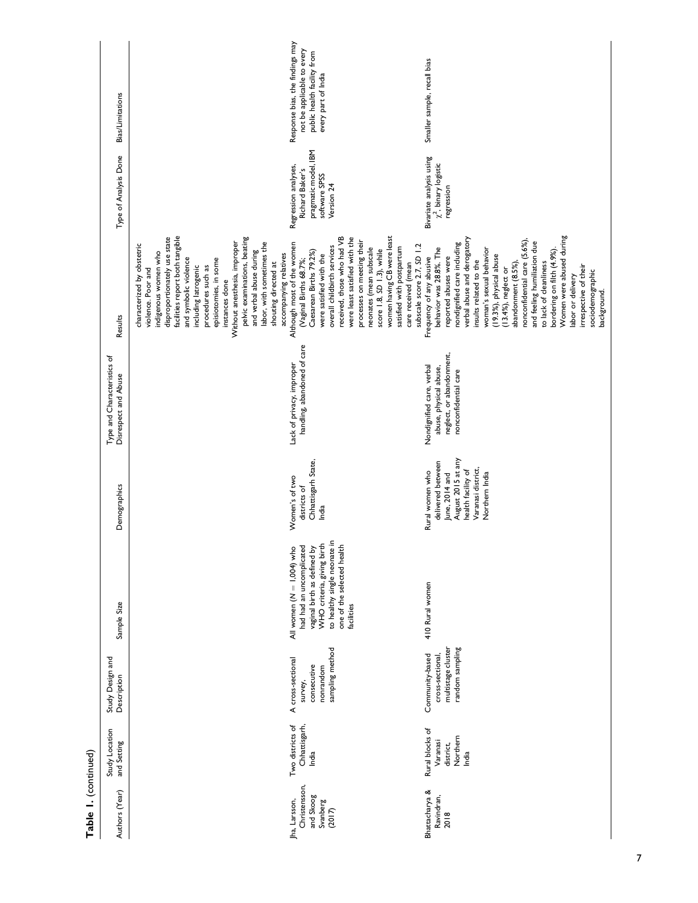| Table I. (continued)                                              |                                                               |                                                                             |                                                                                                                                                                                                  |                                                                                                                                            |                                                                                                         |                                                                                                                                                                                                                                                                                                                                                                                                                                                                                                                                          |                                                                                                |                                                                                                                     |
|-------------------------------------------------------------------|---------------------------------------------------------------|-----------------------------------------------------------------------------|--------------------------------------------------------------------------------------------------------------------------------------------------------------------------------------------------|--------------------------------------------------------------------------------------------------------------------------------------------|---------------------------------------------------------------------------------------------------------|------------------------------------------------------------------------------------------------------------------------------------------------------------------------------------------------------------------------------------------------------------------------------------------------------------------------------------------------------------------------------------------------------------------------------------------------------------------------------------------------------------------------------------------|------------------------------------------------------------------------------------------------|---------------------------------------------------------------------------------------------------------------------|
| Authors (Year)                                                    | Study Location<br>and Setting                                 | Study Design and<br>Description                                             | Sample Size                                                                                                                                                                                      | Demographics                                                                                                                               | Type and Characteristics of<br>Disrespect and Abuse                                                     | Results                                                                                                                                                                                                                                                                                                                                                                                                                                                                                                                                  | Type of Analysis Done                                                                          | <b>Bias/Limitations</b>                                                                                             |
|                                                                   |                                                               |                                                                             |                                                                                                                                                                                                  |                                                                                                                                            |                                                                                                         | facilities report both tangible<br>disproportionately use state<br>pelvic examinations, beating<br>Without anesthesia, improper<br>labor, with sometimes the<br>characterized by obstetric<br>and verbal abuse during<br>indigenous women who<br>accompanying relatives<br>and symbolic violence<br>episiotomies, in some<br>shouting directed at<br>including latrogenic<br>procedures such as<br>violence. Poor and<br>instances done                                                                                                  |                                                                                                |                                                                                                                     |
| Christensson,<br>and Skoog<br>Jha, Larsson,<br>Svanberg<br>(2017) | Two districts of<br>Chhattisgarh,<br>India                    | sampling method<br>A cross-sectional<br>consecutive<br>nonrandom<br>survey, | to healthy single neonate in<br>WHO criteria, giving birth<br>one of the selected health<br>All women $(N = 1,004)$ who<br>had had an uncomplicated<br>vaginal birth as defined by<br>facilities | Chhattisgarh State,<br>Women's of two<br>districts of<br>India                                                                             | handling, abandoned of care<br>Lack of privacy, improper                                                | women having CB were least<br>received, those who had VB<br>were least satisfied with the<br>processes on meeting their<br>Although most of the women<br>overall childbirth services<br>satisfied with postpartum<br>neonates (mean subscale<br>score 1.8, SD 1.3), while<br>Caesarean Births 79.2%)<br>were satisfied with the<br>(Vaginal Births 68.7%;<br>care received (mean                                                                                                                                                         | pragmatic model, IBM<br>Regression analyses,<br>Richard Baker's<br>software SPSS<br>Version 24 | Response bias, the findings may<br>not be applicable to every<br>public health facility from<br>every part of India |
| Bhattacharya &<br>Ravindran,<br>2018                              | Rural blocks of<br>Northern<br>Varanasi<br>district,<br>India | random sampling<br>multistage cluster<br>Community-based<br>cross-sectional | 410 Rural women                                                                                                                                                                                  | August 2015 at any<br>delivered between<br>Varanasi district,<br>Rural women who<br>health facility of<br>June, 2014 and<br>Northern India | neglect, or abandonment,<br>Nondignified care, verbal<br>abuse, physical abuse,<br>nonconfidential care | Women were abused during<br>verbal abuse and derogatory<br>nonconfidential care (5.6%),<br>and feeling humiliation due<br>nondignified care including<br>subscale score 2.7, SD 1.2<br>behavior was 28.8%. The<br>woman's sexual behavior<br>bordering on filth (4.9%)<br>(19.3%), physical abuse<br>Frequency of any abusive<br>reported abuses were<br>insults related to the<br>to lack of cleanliness<br>abandonment (8.5%),<br>irrespective of their<br>(13.4%), neglect or<br>sociodemographic<br>labor or delivery<br>background. | Bivariate analysis using<br>$\chi^2$ , binary logistic<br>regression                           | Smaller sample, recall bias                                                                                         |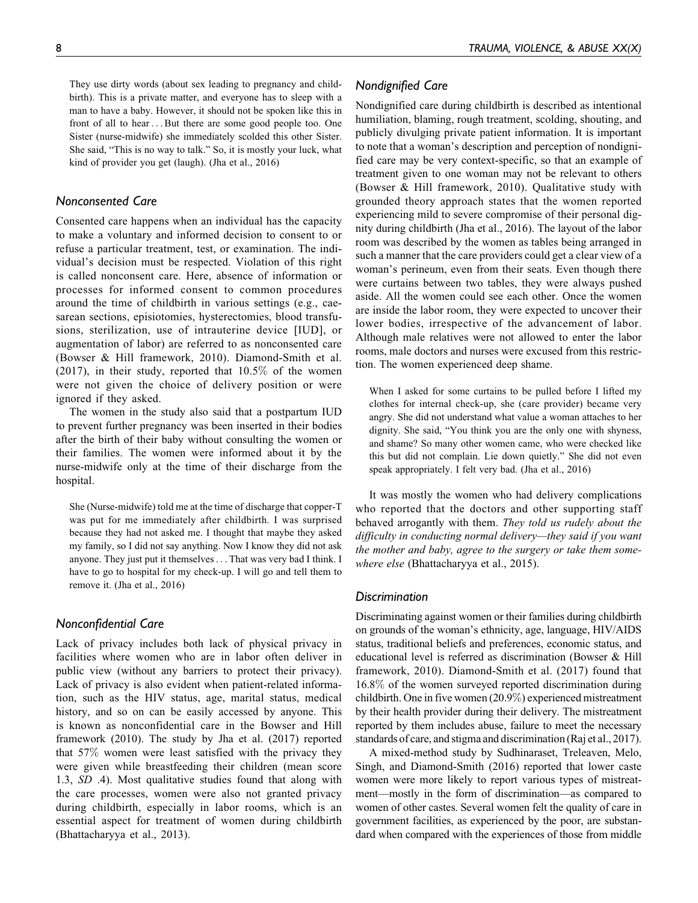They use dirty words (about sex leading to pregnancy and childbirth). This is a private matter, and everyone has to sleep with a man to have a baby. However, it should not be spoken like this in front of all to hear ...But there are some good people too. One Sister (nurse-midwife) she immediately scolded this other Sister. She said, "This is no way to talk." So, it is mostly your luck, what kind of provider you get (laugh). (Jha et al., 2016)

### Nonconsented Care

Consented care happens when an individual has the capacity to make a voluntary and informed decision to consent to or refuse a particular treatment, test, or examination. The individual's decision must be respected. Violation of this right is called nonconsent care. Here, absence of information or processes for informed consent to common procedures around the time of childbirth in various settings (e.g., caesarean sections, episiotomies, hysterectomies, blood transfusions, sterilization, use of intrauterine device [IUD], or augmentation of labor) are referred to as nonconsented care (Bowser & Hill framework, 2010). Diamond-Smith et al. (2017), in their study, reported that  $10.5\%$  of the women were not given the choice of delivery position or were ignored if they asked.

The women in the study also said that a postpartum IUD to prevent further pregnancy was been inserted in their bodies after the birth of their baby without consulting the women or their families. The women were informed about it by the nurse-midwife only at the time of their discharge from the hospital.

She (Nurse-midwife) told me at the time of discharge that copper-T was put for me immediately after childbirth. I was surprised because they had not asked me. I thought that maybe they asked my family, so I did not say anything. Now I know they did not ask anyone. They just put it themselves... That was very bad I think. I have to go to hospital for my check-up. I will go and tell them to remove it. (Jha et al., 2016)

### Nonconfidential Care

Lack of privacy includes both lack of physical privacy in facilities where women who are in labor often deliver in public view (without any barriers to protect their privacy). Lack of privacy is also evident when patient-related information, such as the HIV status, age, marital status, medical history, and so on can be easily accessed by anyone. This is known as nonconfidential care in the Bowser and Hill framework (2010). The study by Jha et al. (2017) reported that 57% women were least satisfied with the privacy they were given while breastfeeding their children (mean score 1.3, SD .4). Most qualitative studies found that along with the care processes, women were also not granted privacy during childbirth, especially in labor rooms, which is an essential aspect for treatment of women during childbirth (Bhattacharyya et al., 2013).

# Nondignified Care

Nondignified care during childbirth is described as intentional humiliation, blaming, rough treatment, scolding, shouting, and publicly divulging private patient information. It is important to note that a woman's description and perception of nondignified care may be very context-specific, so that an example of treatment given to one woman may not be relevant to others (Bowser & Hill framework, 2010). Qualitative study with grounded theory approach states that the women reported experiencing mild to severe compromise of their personal dignity during childbirth (Jha et al., 2016). The layout of the labor room was described by the women as tables being arranged in such a manner that the care providers could get a clear view of a woman's perineum, even from their seats. Even though there were curtains between two tables, they were always pushed aside. All the women could see each other. Once the women are inside the labor room, they were expected to uncover their lower bodies, irrespective of the advancement of labor. Although male relatives were not allowed to enter the labor rooms, male doctors and nurses were excused from this restriction. The women experienced deep shame.

When I asked for some curtains to be pulled before I lifted my clothes for internal check-up, she (care provider) became very angry. She did not understand what value a woman attaches to her dignity. She said, "You think you are the only one with shyness, and shame? So many other women came, who were checked like this but did not complain. Lie down quietly." She did not even speak appropriately. I felt very bad. (Jha et al., 2016)

It was mostly the women who had delivery complications who reported that the doctors and other supporting staff behaved arrogantly with them. They told us rudely about the difficulty in conducting normal delivery—they said if you want the mother and baby, agree to the surgery or take them somewhere else (Bhattacharyya et al., 2015).

### **Discrimination**

Discriminating against women or their families during childbirth on grounds of the woman's ethnicity, age, language, HIV/AIDS status, traditional beliefs and preferences, economic status, and educational level is referred as discrimination (Bowser & Hill framework, 2010). Diamond-Smith et al. (2017) found that 16.8% of the women surveyed reported discrimination during childbirth. One in five women (20.9%) experienced mistreatment by their health provider during their delivery. The mistreatment reported by them includes abuse, failure to meet the necessary standards of care, and stigma and discrimination (Raj et al., 2017).

A mixed-method study by Sudhinaraset, Treleaven, Melo, Singh, and Diamond-Smith (2016) reported that lower caste women were more likely to report various types of mistreatment—mostly in the form of discrimination—as compared to women of other castes. Several women felt the quality of care in government facilities, as experienced by the poor, are substandard when compared with the experiences of those from middle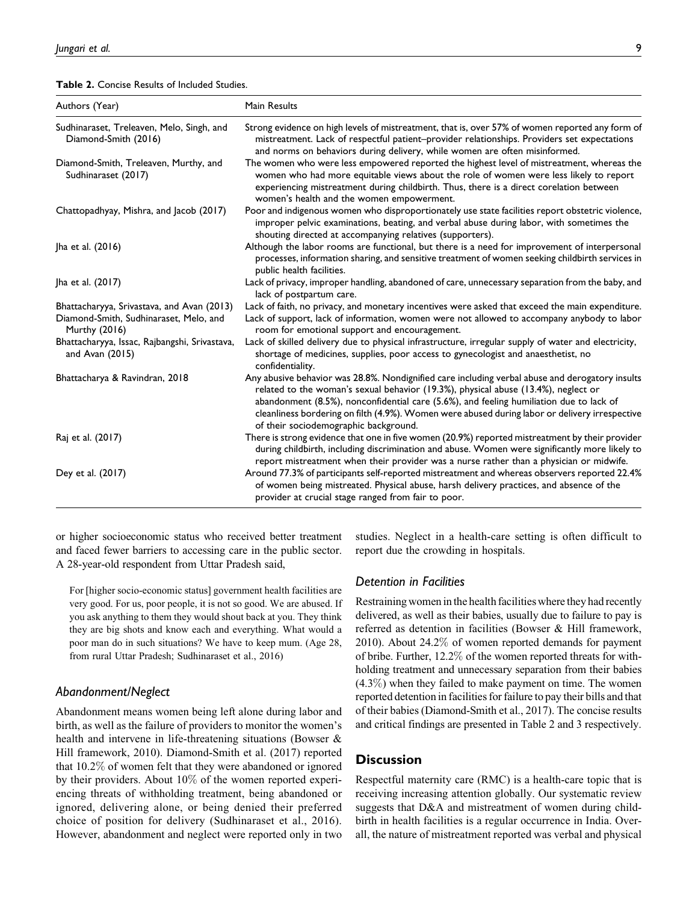| <b>Table 2.</b> Concise Results of Included Studies. |  |  |  |
|------------------------------------------------------|--|--|--|
|------------------------------------------------------|--|--|--|

| Authors (Year)                                                                                        | Main Results                                                                                                                                                                                                                                                                                                                                                                                                                |
|-------------------------------------------------------------------------------------------------------|-----------------------------------------------------------------------------------------------------------------------------------------------------------------------------------------------------------------------------------------------------------------------------------------------------------------------------------------------------------------------------------------------------------------------------|
| Sudhinaraset, Treleaven, Melo, Singh, and<br>Diamond-Smith (2016)                                     | Strong evidence on high levels of mistreatment, that is, over 57% of women reported any form of<br>mistreatment. Lack of respectful patient-provider relationships. Providers set expectations<br>and norms on behaviors during delivery, while women are often misinformed.                                                                                                                                                |
| Diamond-Smith, Treleaven, Murthy, and<br>Sudhinaraset (2017)                                          | The women who were less empowered reported the highest level of mistreatment, whereas the<br>women who had more equitable views about the role of women were less likely to report<br>experiencing mistreatment during childbirth. Thus, there is a direct corelation between<br>women's health and the women empowerment.                                                                                                  |
| Chattopadhyay, Mishra, and Jacob (2017)                                                               | Poor and indigenous women who disproportionately use state facilities report obstetric violence,<br>improper pelvic examinations, beating, and verbal abuse during labor, with sometimes the<br>shouting directed at accompanying relatives (supporters).                                                                                                                                                                   |
| Jha et al. (2016)                                                                                     | Although the labor rooms are functional, but there is a need for improvement of interpersonal<br>processes, information sharing, and sensitive treatment of women seeking childbirth services in<br>public health facilities.                                                                                                                                                                                               |
| Jha et al. (2017)                                                                                     | Lack of privacy, improper handling, abandoned of care, unnecessary separation from the baby, and<br>lack of postpartum care.                                                                                                                                                                                                                                                                                                |
| Bhattacharyya, Srivastava, and Avan (2013)<br>Diamond-Smith, Sudhinaraset, Melo, and<br>Murthy (2016) | Lack of faith, no privacy, and monetary incentives were asked that exceed the main expenditure.<br>Lack of support, lack of information, women were not allowed to accompany anybody to labor<br>room for emotional support and encouragement.                                                                                                                                                                              |
| Bhattacharyya, Issac, Rajbangshi, Srivastava,<br>and Avan $(2015)$                                    | Lack of skilled delivery due to physical infrastructure, irregular supply of water and electricity,<br>shortage of medicines, supplies, poor access to gynecologist and anaesthetist, no<br>confidentiality.                                                                                                                                                                                                                |
| Bhattacharya & Ravindran, 2018                                                                        | Any abusive behavior was 28.8%. Nondignified care including verbal abuse and derogatory insults<br>related to the woman's sexual behavior (19.3%), physical abuse (13.4%), neglect or<br>abandonment (8.5%), nonconfidential care (5.6%), and feeling humiliation due to lack of<br>cleanliness bordering on filth (4.9%). Women were abused during labor or delivery irrespective<br>of their sociodemographic background. |
| Raj et al. (2017)                                                                                     | There is strong evidence that one in five women (20.9%) reported mistreatment by their provider<br>during childbirth, including discrimination and abuse. Women were significantly more likely to<br>report mistreatment when their provider was a nurse rather than a physician or midwife.                                                                                                                                |
| Dey et al. (2017)                                                                                     | Around 77.3% of participants self-reported mistreatment and whereas observers reported 22.4%<br>of women being mistreated. Physical abuse, harsh delivery practices, and absence of the<br>provider at crucial stage ranged from fair to poor.                                                                                                                                                                              |

or higher socioeconomic status who received better treatment and faced fewer barriers to accessing care in the public sector. A 28-year-old respondent from Uttar Pradesh said,

For [higher socio-economic status] government health facilities are very good. For us, poor people, it is not so good. We are abused. If you ask anything to them they would shout back at you. They think they are big shots and know each and everything. What would a poor man do in such situations? We have to keep mum. (Age 28, from rural Uttar Pradesh; Sudhinaraset et al., 2016)

### Abandonment/Neglect

Abandonment means women being left alone during labor and birth, as well as the failure of providers to monitor the women's health and intervene in life-threatening situations (Bowser & Hill framework, 2010). Diamond-Smith et al. (2017) reported that 10.2% of women felt that they were abandoned or ignored by their providers. About 10% of the women reported experiencing threats of withholding treatment, being abandoned or ignored, delivering alone, or being denied their preferred choice of position for delivery (Sudhinaraset et al., 2016). However, abandonment and neglect were reported only in two studies. Neglect in a health-care setting is often difficult to report due the crowding in hospitals.

# Detention in Facilities

Restraining women in the health facilities where they had recently delivered, as well as their babies, usually due to failure to pay is referred as detention in facilities (Bowser & Hill framework, 2010). About 24.2% of women reported demands for payment of bribe. Further, 12.2% of the women reported threats for withholding treatment and unnecessary separation from their babies (4.3%) when they failed to make payment on time. The women reported detention in facilities for failure to pay their bills and that of their babies (Diamond-Smith et al., 2017). The concise results and critical findings are presented in Table 2 and 3 respectively.

## **Discussion**

Respectful maternity care (RMC) is a health-care topic that is receiving increasing attention globally. Our systematic review suggests that D&A and mistreatment of women during childbirth in health facilities is a regular occurrence in India. Overall, the nature of mistreatment reported was verbal and physical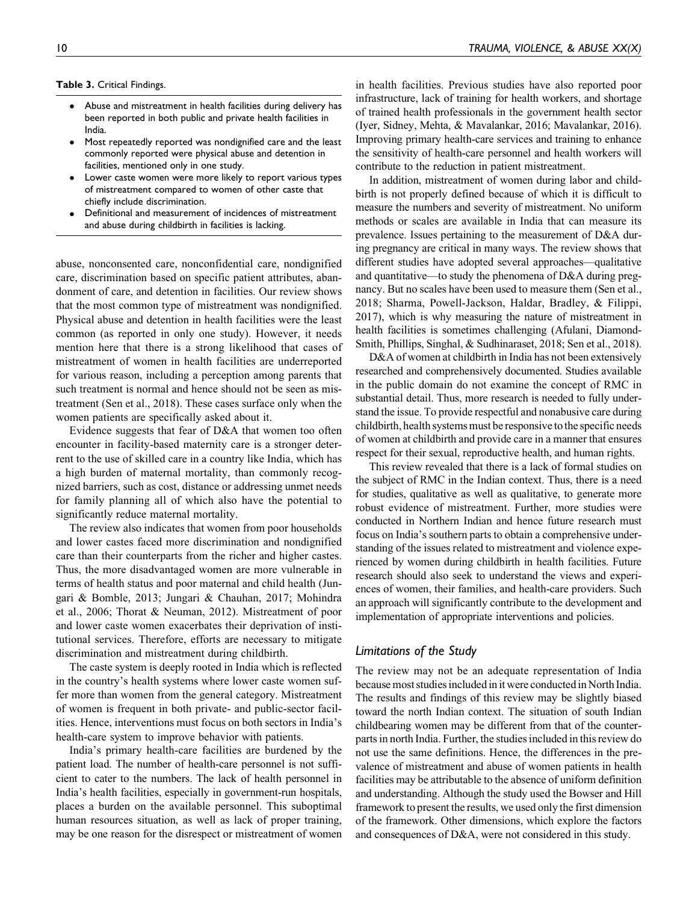Table 3. Critical Findings.

- $\bullet$  Abuse and mistreatment in health facilities during delivery has been reported in both public and private health facilities in India.
- $\bullet$  Most repeatedly reported was nondignified care and the least commonly reported were physical abuse and detention in facilities, mentioned only in one study.
- $\bullet$  Lower caste women were more likely to report various types of mistreatment compared to women of other caste that chiefly include discrimination.
- $\bullet$  Definitional and measurement of incidences of mistreatment and abuse during childbirth in facilities is lacking.

abuse, nonconsented care, nonconfidential care, nondignified care, discrimination based on specific patient attributes, abandonment of care, and detention in facilities. Our review shows that the most common type of mistreatment was nondignified. Physical abuse and detention in health facilities were the least common (as reported in only one study). However, it needs mention here that there is a strong likelihood that cases of mistreatment of women in health facilities are underreported for various reason, including a perception among parents that such treatment is normal and hence should not be seen as mistreatment (Sen et al., 2018). These cases surface only when the women patients are specifically asked about it.

Evidence suggests that fear of D&A that women too often encounter in facility-based maternity care is a stronger deterrent to the use of skilled care in a country like India, which has a high burden of maternal mortality, than commonly recognized barriers, such as cost, distance or addressing unmet needs for family planning all of which also have the potential to significantly reduce maternal mortality.

The review also indicates that women from poor households and lower castes faced more discrimination and nondignified care than their counterparts from the richer and higher castes. Thus, the more disadvantaged women are more vulnerable in terms of health status and poor maternal and child health (Jungari & Bomble, 2013; Jungari & Chauhan, 2017; Mohindra et al., 2006; Thorat & Neuman, 2012). Mistreatment of poor and lower caste women exacerbates their deprivation of institutional services. Therefore, efforts are necessary to mitigate discrimination and mistreatment during childbirth.

The caste system is deeply rooted in India which is reflected in the country's health systems where lower caste women suffer more than women from the general category. Mistreatment of women is frequent in both private- and public-sector facilities. Hence, interventions must focus on both sectors in India's health-care system to improve behavior with patients.

India's primary health-care facilities are burdened by the patient load. The number of health-care personnel is not sufficient to cater to the numbers. The lack of health personnel in India's health facilities, especially in government-run hospitals, places a burden on the available personnel. This suboptimal human resources situation, as well as lack of proper training, may be one reason for the disrespect or mistreatment of women in health facilities. Previous studies have also reported poor infrastructure, lack of training for health workers, and shortage of trained health professionals in the government health sector (Iyer, Sidney, Mehta, & Mavalankar, 2016; Mavalankar, 2016). Improving primary health-care services and training to enhance the sensitivity of health-care personnel and health workers will contribute to the reduction in patient mistreatment.

In addition, mistreatment of women during labor and childbirth is not properly defined because of which it is difficult to measure the numbers and severity of mistreatment. No uniform methods or scales are available in India that can measure its prevalence. Issues pertaining to the measurement of D&A during pregnancy are critical in many ways. The review shows that different studies have adopted several approaches—qualitative and quantitative—to study the phenomena of D&A during pregnancy. But no scales have been used to measure them (Sen et al., 2018; Sharma, Powell-Jackson, Haldar, Bradley, & Filippi, 2017), which is why measuring the nature of mistreatment in health facilities is sometimes challenging (Afulani, Diamond-Smith, Phillips, Singhal, & Sudhinaraset, 2018; Sen et al., 2018).

D&A of women at childbirth in India has not been extensively researched and comprehensively documented. Studies available in the public domain do not examine the concept of RMC in substantial detail. Thus, more research is needed to fully understand the issue. To provide respectful and nonabusive care during childbirth, health systems must be responsive to the specific needs of women at childbirth and provide care in a manner that ensures respect for their sexual, reproductive health, and human rights.

This review revealed that there is a lack of formal studies on the subject of RMC in the Indian context. Thus, there is a need for studies, qualitative as well as qualitative, to generate more robust evidence of mistreatment. Further, more studies were conducted in Northern Indian and hence future research must focus on India's southern parts to obtain a comprehensive understanding of the issues related to mistreatment and violence experienced by women during childbirth in health facilities. Future research should also seek to understand the views and experiences of women, their families, and health-care providers. Such an approach will significantly contribute to the development and implementation of appropriate interventions and policies.

# Limitations of the Study

The review may not be an adequate representation of India because most studies included in it were conducted in North India. The results and findings of this review may be slightly biased toward the north Indian context. The situation of south Indian childbearing women may be different from that of the counterparts in north India. Further, the studies included in this review do not use the same definitions. Hence, the differences in the prevalence of mistreatment and abuse of women patients in health facilities may be attributable to the absence of uniform definition and understanding. Although the study used the Bowser and Hill framework to present the results, we used only the first dimension of the framework. Other dimensions, which explore the factors and consequences of D&A, were not considered in this study.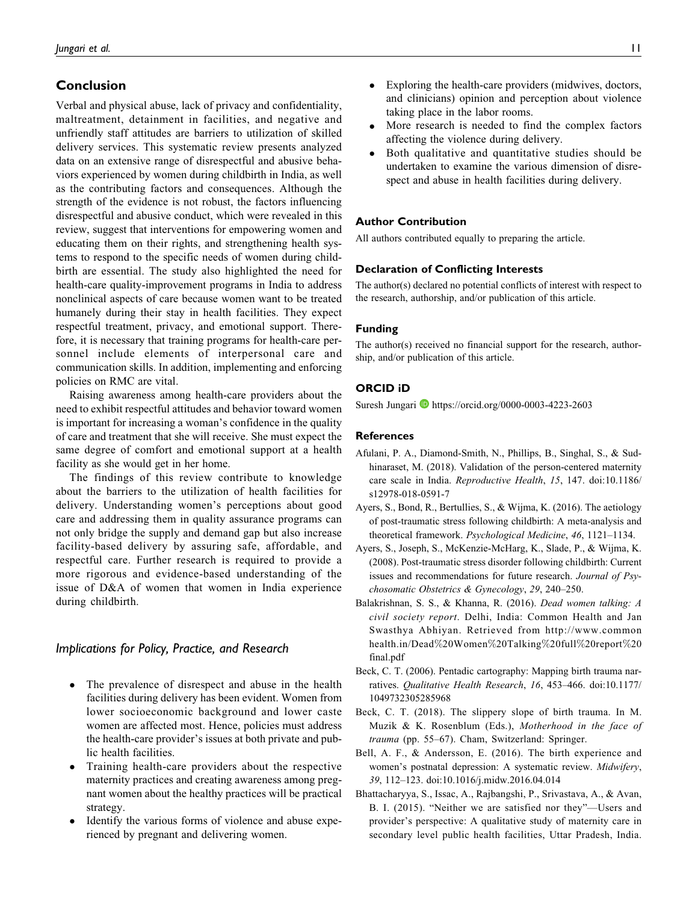# Conclusion

Verbal and physical abuse, lack of privacy and confidentiality, maltreatment, detainment in facilities, and negative and unfriendly staff attitudes are barriers to utilization of skilled delivery services. This systematic review presents analyzed data on an extensive range of disrespectful and abusive behaviors experienced by women during childbirth in India, as well as the contributing factors and consequences. Although the strength of the evidence is not robust, the factors influencing disrespectful and abusive conduct, which were revealed in this review, suggest that interventions for empowering women and educating them on their rights, and strengthening health systems to respond to the specific needs of women during childbirth are essential. The study also highlighted the need for health-care quality-improvement programs in India to address nonclinical aspects of care because women want to be treated humanely during their stay in health facilities. They expect respectful treatment, privacy, and emotional support. Therefore, it is necessary that training programs for health-care personnel include elements of interpersonal care and communication skills. In addition, implementing and enforcing policies on RMC are vital.

Raising awareness among health-care providers about the need to exhibit respectful attitudes and behavior toward women is important for increasing a woman's confidence in the quality of care and treatment that she will receive. She must expect the same degree of comfort and emotional support at a health facility as she would get in her home.

The findings of this review contribute to knowledge about the barriers to the utilization of health facilities for delivery. Understanding women's perceptions about good care and addressing them in quality assurance programs can not only bridge the supply and demand gap but also increase facility-based delivery by assuring safe, affordable, and respectful care. Further research is required to provide a more rigorous and evidence-based understanding of the issue of D&A of women that women in India experience during childbirth.

### Implications for Policy, Practice, and Research

- $\bullet$  The prevalence of disrespect and abuse in the health facilities during delivery has been evident. Women from lower socioeconomic background and lower caste women are affected most. Hence, policies must address the health-care provider's issues at both private and public health facilities.
- $\bullet$  Training health-care providers about the respective maternity practices and creating awareness among pregnant women about the healthy practices will be practical strategy.
- $\bullet$  Identify the various forms of violence and abuse experienced by pregnant and delivering women.
- $\bullet$  Exploring the health-care providers (midwives, doctors, and clinicians) opinion and perception about violence taking place in the labor rooms.
- $\bullet$  More research is needed to find the complex factors affecting the violence during delivery.
- $\bullet$  Both qualitative and quantitative studies should be undertaken to examine the various dimension of disrespect and abuse in health facilities during delivery.

#### Author Contribution

All authors contributed equally to preparing the article.

#### Declaration of Conflicting Interests

The author(s) declared no potential conflicts of interest with respect to the research, authorship, and/or publication of this article.

#### Funding

The author(s) received no financial support for the research, authorship, and/or publication of this article.

### ORCID iD

Suresh Jungari **I** <https://orcid.org/0000-0003-4223-2603>

### References

- Afulani, P. A., Diamond-Smith, N., Phillips, B., Singhal, S., & Sudhinaraset, M. (2018). Validation of the person-centered maternity care scale in India. Reproductive Health, 15, 147. doi:10.1186/ s12978-018-0591-7
- Ayers, S., Bond, R., Bertullies, S., & Wijma, K. (2016). The aetiology of post-traumatic stress following childbirth: A meta-analysis and theoretical framework. Psychological Medicine, 46, 1121–1134.
- Ayers, S., Joseph, S., McKenzie-McHarg, K., Slade, P., & Wijma, K. (2008). Post-traumatic stress disorder following childbirth: Current issues and recommendations for future research. Journal of Psychosomatic Obstetrics & Gynecology, 29, 240–250.
- Balakrishnan, S. S., & Khanna, R. (2016). Dead women talking: A civil society report. Delhi, India: Common Health and Jan Swasthya Abhiyan. Retrieved from [http://www.common](http://www.commonhealth.in/Dead%20Women%20Talking%20full%20report%20final.pdf) [health.in/Dead](http://www.commonhealth.in/Dead%20Women%20Talking%20full%20report%20final.pdf)%[20Women](http://www.commonhealth.in/Dead%20Women%20Talking%20full%20report%20final.pdf)%[20Talking](http://www.commonhealth.in/Dead%20Women%20Talking%20full%20report%20final.pdf)%[20full](http://www.commonhealth.in/Dead%20Women%20Talking%20full%20report%20final.pdf)%[20report](http://www.commonhealth.in/Dead%20Women%20Talking%20full%20report%20final.pdf)%[20](http://www.commonhealth.in/Dead%20Women%20Talking%20full%20report%20final.pdf) [final.pdf](http://www.commonhealth.in/Dead%20Women%20Talking%20full%20report%20final.pdf)
- Beck, C. T. (2006). Pentadic cartography: Mapping birth trauma narratives. Qualitative Health Research, 16, 453–466. doi:10.1177/ 1049732305285968
- Beck, C. T. (2018). The slippery slope of birth trauma. In M. Muzik & K. Rosenblum (Eds.), Motherhood in the face of trauma (pp. 55–67). Cham, Switzerland: Springer.
- Bell, A. F., & Andersson, E. (2016). The birth experience and women's postnatal depression: A systematic review. Midwifery, 39, 112–123. doi:10.1016/j.midw.2016.04.014
- Bhattacharyya, S., Issac, A., Rajbangshi, P., Srivastava, A., & Avan, B. I. (2015). "Neither we are satisfied nor they"—Users and provider's perspective: A qualitative study of maternity care in secondary level public health facilities, Uttar Pradesh, India.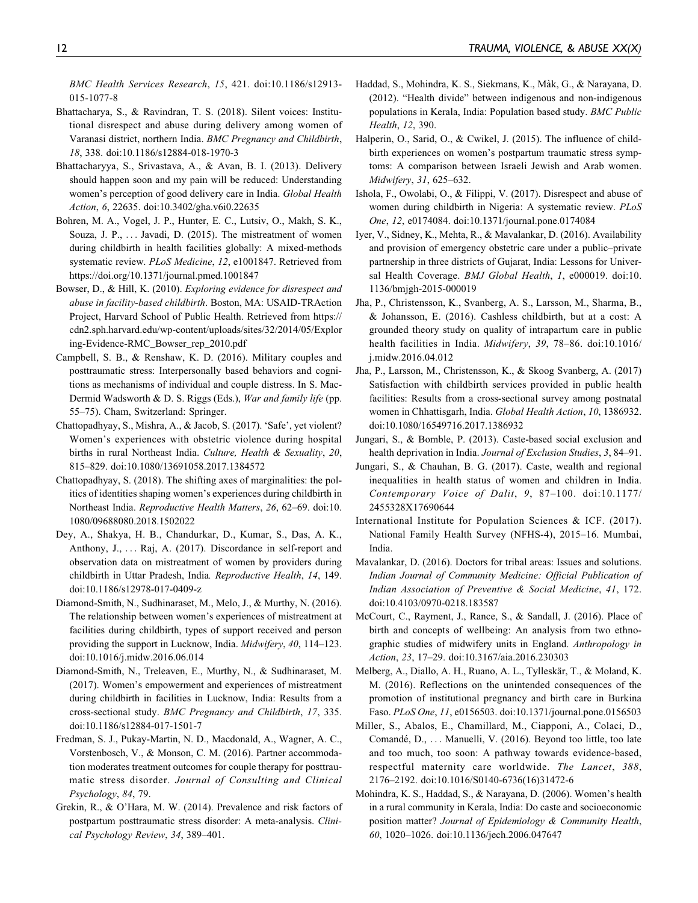BMC Health Services Research, 15, 421. doi:10.1186/s12913- 015-1077-8

- Bhattacharya, S., & Ravindran, T. S. (2018). Silent voices: Institutional disrespect and abuse during delivery among women of Varanasi district, northern India. BMC Pregnancy and Childbirth, 18, 338. doi:10.1186/s12884-018-1970-3
- Bhattacharyya, S., Srivastava, A., & Avan, B. I. (2013). Delivery should happen soon and my pain will be reduced: Understanding women's perception of good delivery care in India. Global Health Action, 6, 22635. doi:10.3402/gha.v6i0.22635
- Bohren, M. A., Vogel, J. P., Hunter, E. C., Lutsiv, O., Makh, S. K., Souza, J. P., ... Javadi, D. (2015). The mistreatment of women during childbirth in health facilities globally: A mixed-methods systematic review. PLoS Medicine, 12, e1001847. Retrieved from <https://doi.org/10.1371/journal.pmed.1001847>
- Bowser, D., & Hill, K. (2010). Exploring evidence for disrespect and abuse in facility-based childbirth. Boston, MA: USAID-TRAction Project, Harvard School of Public Health. Retrieved from [https://](https://cdn2.sph.harvard.edu/wp-content/uploads/sites/32/2014/05/Exploring-Evidence-RMC_Bowser_rep_2010.pdf) [cdn2.sph.harvard.edu/wp-content/uploads/sites/32/2014/05/Explor](https://cdn2.sph.harvard.edu/wp-content/uploads/sites/32/2014/05/Exploring-Evidence-RMC_Bowser_rep_2010.pdf) [ing-Evidence-RMC\\_Bowser\\_rep\\_2010.pdf](https://cdn2.sph.harvard.edu/wp-content/uploads/sites/32/2014/05/Exploring-Evidence-RMC_Bowser_rep_2010.pdf)
- Campbell, S. B., & Renshaw, K. D. (2016). Military couples and posttraumatic stress: Interpersonally based behaviors and cognitions as mechanisms of individual and couple distress. In S. Mac-Dermid Wadsworth & D. S. Riggs (Eds.), War and family life (pp. 55–75). Cham, Switzerland: Springer.
- Chattopadhyay, S., Mishra, A., & Jacob, S. (2017). 'Safe', yet violent? Women's experiences with obstetric violence during hospital births in rural Northeast India. Culture, Health & Sexuality, 20, 815–829. doi:10.1080/13691058.2017.1384572
- Chattopadhyay, S. (2018). The shifting axes of marginalities: the politics of identities shaping women's experiences during childbirth in Northeast India. Reproductive Health Matters, 26, 62–69. doi:10. 1080/09688080.2018.1502022
- Dey, A., Shakya, H. B., Chandurkar, D., Kumar, S., Das, A. K., Anthony, J., ... Raj, A. (2017). Discordance in self-report and observation data on mistreatment of women by providers during childbirth in Uttar Pradesh, India. Reproductive Health, 14, 149. doi:10.1186/s12978-017-0409-z
- Diamond-Smith, N., Sudhinaraset, M., Melo, J., & Murthy, N. (2016). The relationship between women's experiences of mistreatment at facilities during childbirth, types of support received and person providing the support in Lucknow, India. Midwifery, 40, 114–123. doi:10.1016/j.midw.2016.06.014
- Diamond-Smith, N., Treleaven, E., Murthy, N., & Sudhinaraset, M. (2017). Women's empowerment and experiences of mistreatment during childbirth in facilities in Lucknow, India: Results from a cross-sectional study. BMC Pregnancy and Childbirth, 17, 335. doi:10.1186/s12884-017-1501-7
- Fredman, S. J., Pukay-Martin, N. D., Macdonald, A., Wagner, A. C., Vorstenbosch, V., & Monson, C. M. (2016). Partner accommodation moderates treatment outcomes for couple therapy for posttraumatic stress disorder. Journal of Consulting and Clinical Psychology, 84, 79.
- Grekin, R., & O'Hara, M. W. (2014). Prevalence and risk factors of postpartum posttraumatic stress disorder: A meta-analysis. Clinical Psychology Review, 34, 389–401.
- Haddad, S., Mohindra, K. S., Siekmans, K., Màk, G., & Narayana, D. (2012). "Health divide" between indigenous and non-indigenous populations in Kerala, India: Population based study. BMC Public Health, 12, 390.
- Halperin, O., Sarid, O., & Cwikel, J. (2015). The influence of childbirth experiences on women's postpartum traumatic stress symptoms: A comparison between Israeli Jewish and Arab women. Midwifery, 31, 625–632.
- Ishola, F., Owolabi, O., & Filippi, V. (2017). Disrespect and abuse of women during childbirth in Nigeria: A systematic review. PLoS One, 12, e0174084. doi:10.1371/journal.pone.0174084
- Iyer, V., Sidney, K., Mehta, R., & Mavalankar, D. (2016). Availability and provision of emergency obstetric care under a public–private partnership in three districts of Gujarat, India: Lessons for Universal Health Coverage. BMJ Global Health, 1, e000019. doi:10. 1136/bmjgh-2015-000019
- Jha, P., Christensson, K., Svanberg, A. S., Larsson, M., Sharma, B., & Johansson, E. (2016). Cashless childbirth, but at a cost: A grounded theory study on quality of intrapartum care in public health facilities in India. Midwifery, 39, 78–86. doi:10.1016/ j.midw.2016.04.012
- Jha, P., Larsson, M., Christensson, K., & Skoog Svanberg, A. (2017) Satisfaction with childbirth services provided in public health facilities: Results from a cross-sectional survey among postnatal women in Chhattisgarh, India. Global Health Action, 10, 1386932. doi:10.1080/16549716.2017.1386932
- Jungari, S., & Bomble, P. (2013). Caste-based social exclusion and health deprivation in India. Journal of Exclusion Studies, 3, 84–91.
- Jungari, S., & Chauhan, B. G. (2017). Caste, wealth and regional inequalities in health status of women and children in India. Contemporary Voice of Dalit, 9, 87–100. doi:10.1177/ 2455328X17690644
- International Institute for Population Sciences & ICF. (2017). National Family Health Survey (NFHS-4), 2015–16. Mumbai, India.
- Mavalankar, D. (2016). Doctors for tribal areas: Issues and solutions. Indian Journal of Community Medicine: Official Publication of Indian Association of Preventive & Social Medicine, 41, 172. doi:10.4103/0970-0218.183587
- McCourt, C., Rayment, J., Rance, S., & Sandall, J. (2016). Place of birth and concepts of wellbeing: An analysis from two ethnographic studies of midwifery units in England. Anthropology in Action, 23, 17–29. doi:10.3167/aia.2016.230303
- Melberg, A., Diallo, A. H., Ruano, A. L., Tylleskär, T., & Moland, K. M. (2016). Reflections on the unintended consequences of the promotion of institutional pregnancy and birth care in Burkina Faso. PLoS One, 11, e0156503. doi:10.1371/journal.pone.0156503
- Miller, S., Abalos, E., Chamillard, M., Ciapponi, A., Colaci, D., Comandé, D., ... Manuelli, V. (2016). Beyond too little, too late and too much, too soon: A pathway towards evidence-based, respectful maternity care worldwide. The Lancet, 388, 2176–2192. doi:10.1016/S0140-6736(16)31472-6
- Mohindra, K. S., Haddad, S., & Narayana, D. (2006). Women's health in a rural community in Kerala, India: Do caste and socioeconomic position matter? Journal of Epidemiology & Community Health, 60, 1020–1026. doi:10.1136/jech.2006.047647